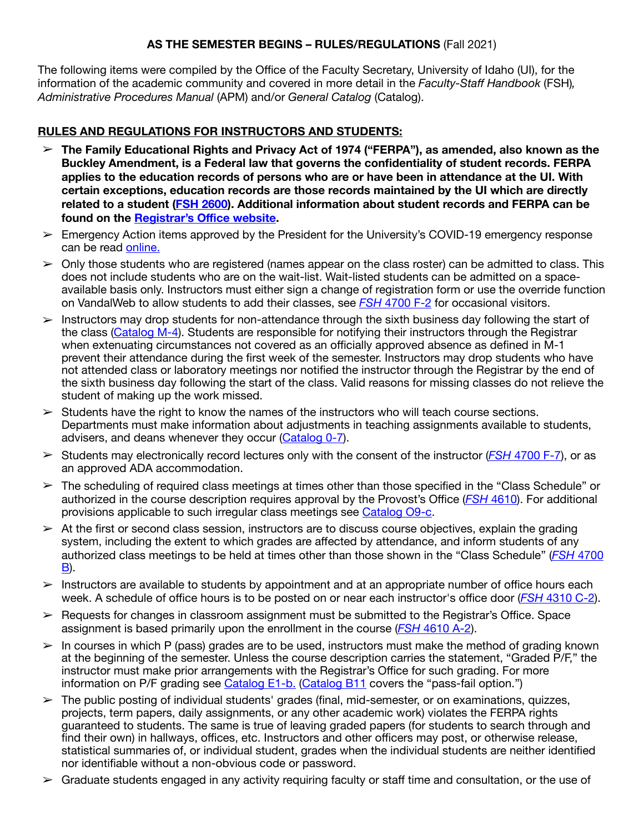## **AS THE SEMESTER BEGINS – RULES/REGULATIONS** (Fall 2021)

The following items were compiled by the Office of the Faculty Secretary, University of Idaho (UI), for the information of the academic community and covered in more detail in the *Faculty-Staff Handbook* (FSH)*, Administrative Procedures Manual* (APM) and/or *General Catalog* (Catalog).

#### **RULES AND REGULATIONS FOR INSTRUCTORS AND STUDENTS:**

- ➢ **The Family Educational Rights and Privacy Act of 1974 ("FERPA"), as amended, also known as the Buckley Amendment, is a Federal law that governs the confidentiality of student records. FERPA applies to the education records of persons who are or have been in attendance at the UI. With certain exceptions, education records are those records maintained by the UI which are directly related to a student [\(FSH 2600](https://www.webpages.uidaho.edu/fsh/2600.html)). Additional information about student records and FERPA can be found on the [Registrar's O](https://www.uidaho.edu/registrar/students/studentrights)ffice website.**
- $\geq$  Emergency Action items approved by the President for the University's COVID-19 emergency response can be read [online.](https://www.uidaho.edu/vandal-health-clinic/coronavirus/emergency-actions)
- $\geq 0$ nly those students who are registered (names appear on the class roster) can be admitted to class. This does not include students who are on the wait-list. Wait-listed students can be admitted on a spaceavailable basis only. Instructors must either sign a change of registration form or use the override function on VandalWeb to allow students to add their classes, see *FSH* [4700 F-2](https://www.webpages.uidaho.edu/fsh/4700.html#F.) for occasional visitors.
- $\geq$  Instructors may drop students for non-attendance through the sixth business day following the start of the class [\(Catalog M-4\)](https://www.uidaho.edu/registrar/classes/catalogs). Students are responsible for notifying their instructors through the Registrar when extenuating circumstances not covered as an officially approved absence as defined in M-1 prevent their attendance during the first week of the semester. Instructors may drop students who have not attended class or laboratory meetings nor notified the instructor through the Registrar by the end of the sixth business day following the start of the class. Valid reasons for missing classes do not relieve the student of making up the work missed.
- $\geq$  Students have the right to know the names of the instructors who will teach course sections. Departments must make information about adjustments in teaching assignments available to students, advisers, and deans whenever they occur ([Catalog 0-7](https://www.uidaho.edu/registrar/classes/catalogs)).
- ➢ Students may electronically record lectures only with the consent of the instructor (*FSH* [4700 F-7](https://www.webpages.uidaho.edu/fsh/4700.html)), or as an approved ADA accommodation.
- $\geq$  The scheduling of required class meetings at times other than those specified in the "Class Schedule" or authorized in the course description requires approval by the Provost's Office (*FSH* [4610\)](https://www.webpages.uidaho.edu/fsh/4610.html). For additional provisions applicable to such irregular class meetings see [Catalog O9-c.](https://www.uidaho.edu/registrar/classes/catalogs)
- $\geq$  At the first or second class session, instructors are to discuss course objectives, explain the grading system, including the extent to which grades are affected by attendance, and inform students of any authorized class meetings to be held at times other than those shown in the "Class Schedule" (*FSH* [4700](https://www.webpages.uidaho.edu/fsh/4700.html#B.)  [B](https://www.webpages.uidaho.edu/fsh/4700.html#B.)).
- $\geq$  Instructors are available to students by appointment and at an appropriate number of office hours each week. A schedule of office hours is to be posted on or near each instructor's office door (*FSH* [4310 C-2](https://www.webpages.uidaho.edu/fsh/4310.html#C.)).
- $\triangleright$  Requests for changes in classroom assignment must be submitted to the Registrar's Office. Space assignment is based primarily upon the enrollment in the course (*FSH* [4610 A-2\)](https://www.webpages.uidaho.edu/fsh/4610.html).
- $\geq$  In courses in which P (pass) grades are to be used, instructors must make the method of grading known at the beginning of the semester. Unless the course description carries the statement, "Graded P/F," the instructor must make prior arrangements with the Registrar's Office for such grading. For more information on P/F grading see [Catalog E1-b.](https://www.uidaho.edu/registrar/classes/catalogs) [\(Catalog B11](https://www.uidaho.edu/registrar/classes/catalogs) covers the "pass-fail option.")
- $\geq$  The public posting of individual students' grades (final, mid-semester, or on examinations, quizzes, projects, term papers, daily assignments, or any other academic work) violates the FERPA rights guaranteed to students. The same is true of leaving graded papers (for students to search through and find their own) in hallways, offices, etc. Instructors and other officers may post, or otherwise release, statistical summaries of, or individual student, grades when the individual students are neither identified nor identifiable without a non-obvious code or password.
- $\triangleright$  Graduate students engaged in any activity requiring faculty or staff time and consultation, or the use of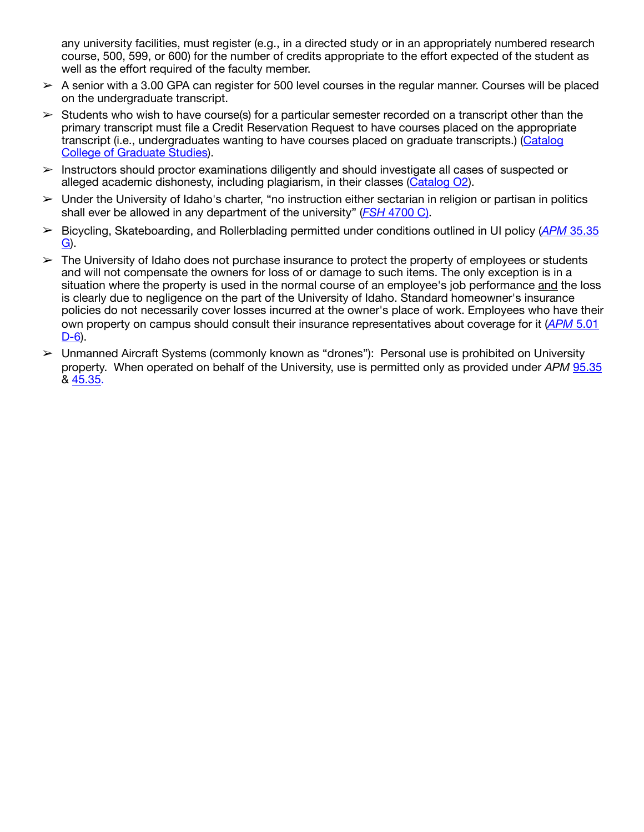any university facilities, must register (e.g., in a directed study or in an appropriately numbered research course, 500, 599, or 600) for the number of credits appropriate to the effort expected of the student as well as the effort required of the faculty member.

- $\geq$  A senior with a 3.00 GPA can register for 500 level courses in the regular manner. Courses will be placed on the undergraduate transcript.
- $\geq$  Students who wish to have course(s) for a particular semester recorded on a transcript other than the primary transcript must file a Credit Reservation Request to have courses placed on the appropriate transcript (i.e., undergraduates wanting to have courses placed on graduate transcripts.) ([Catalog](https://www.uidaho.edu/cogs/forms)  [College of Graduate Studies](https://www.uidaho.edu/cogs/forms)).
- ➢ Instructors should proctor examinations diligently and should investigate all cases of suspected or alleged academic dishonesty, including plagiarism, in their classes ([Catalog O2](https://www.uidaho.edu/registrar/classes/catalogs)).
- $\geq$  Under the University of Idaho's charter, "no instruction either sectarian in religion or partisan in politics shall ever be allowed in any department of the university" (*FSH* [4700 C\).](https://www.webpages.uidaho.edu/fsh/4700.html#C.)
- ➢ Bicycling, Skateboarding, and Rollerblading permitted under conditions outlined in UI policy (*APM* [35.35](https://www.uidaho.edu/apm/35/35)  [G\)](https://www.uidaho.edu/apm/35/35).
- $\geq$  The University of Idaho does not purchase insurance to protect the property of employees or students and will not compensate the owners for loss of or damage to such items. The only exception is in a situation where the property is used in the normal course of an employee's job performance and the loss is clearly due to negligence on the part of the University of Idaho. Standard homeowner's insurance policies do not necessarily cover losses incurred at the owner's place of work. Employees who have their own property on campus should consult their insurance representatives about coverage for it (*APM* [5.01](https://www.uidaho.edu/apm/05/01)  [D-6\)](https://www.uidaho.edu/apm/05/01).
- ➢ Unmanned Aircraft Systems (commonly known as "drones"): Personal use is prohibited on University property. When operated on behalf of the University, use is permitted only as provided under *APM* [95.35](https://www.uidaho.edu/apm/95/35) & [45.35](https://www.uidaho.edu/apm/45/35).